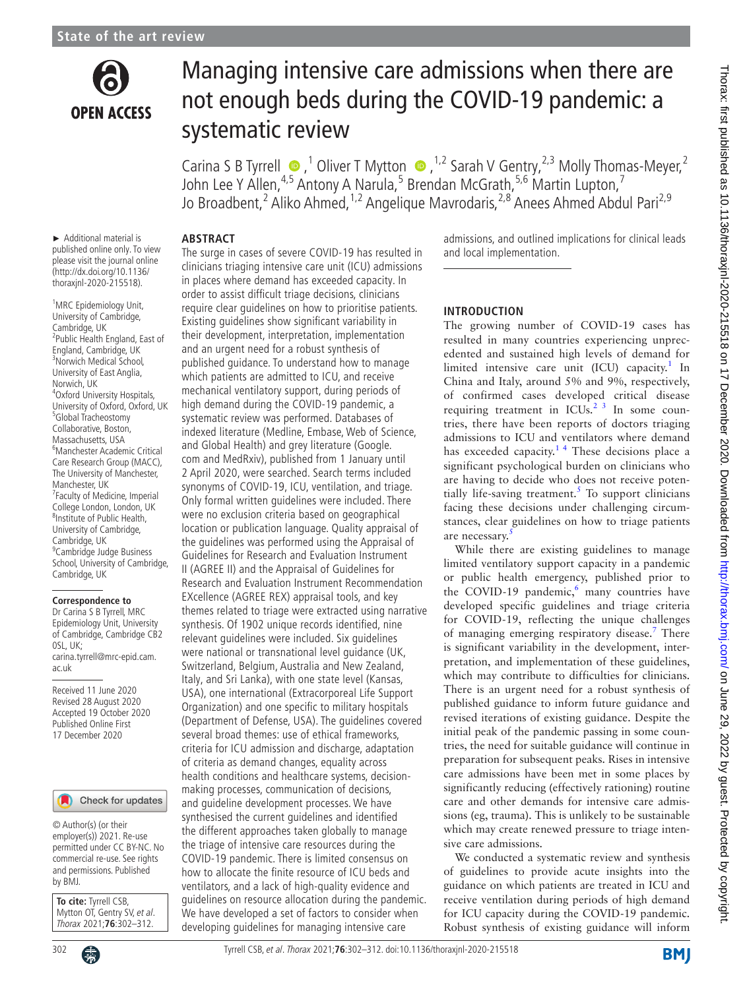

# Managing intensive care admissions when there are not enough beds during the COVID-19 pandemic: a systematic review

CarinaS B Tyrrell  $\bullet$ , <sup>1</sup> Oliver T Mytton  $\bullet$ , <sup>1,2</sup> Sarah V Gentry, <sup>2,3</sup> Molly Thomas-Meyer, <sup>2</sup> John Lee Y Allen,<sup>4,5</sup> Antony A Narula,<sup>5</sup> Brendan McGrath,<sup>5,6</sup> Martin Lupton,<sup>7</sup> Jo Broadbent,<sup>2</sup> Aliko Ahmed,<sup>1,2</sup> Angelique Mavrodaris,<sup>2,8</sup> Anees Ahmed Abdul Pari<sup>2,9</sup>

► Additional material is published online only. To view please visit the journal online (http://dx.doi.org/10.1136/ thoraxjnl-2020-215518).

<sup>1</sup>MRC Epidemiology Unit, University of Cambridge, Cambridge, UK 2 Public Health England, East of England, Cambridge, UK 3 Norwich Medical School, University of East Anglia, Norwich, UK 4 Oxford University Hospitals, University of Oxford, Oxford, UK 5 Global Tracheostomy Collaborative, Boston, Massachusetts, USA 6 Manchester Academic Critical Care Research Group (MACC), The University of Manchester, Manchester, UK 7 Faculty of Medicine, Imperial College London, London, UK <sup>8</sup>Institute of Public Health, University of Cambridge, Cambridge, UK <sup>9</sup> Cambridge Judge Business School, University of Cambridge, Cambridge, UK

#### **Correspondence to**

Dr Carina S B Tyrrell, MRC Epidemiology Unit, University of Cambridge, Cambridge CB2 0SL, UK; carina.tyrrell@mrc-epid.cam. ac.uk

Received 11 June 2020 Revised 28 August 2020 Accepted 19 October 2020 Published Online First 17 December 2020

#### Check for updates

© Author(s) (or their employer(s)) 2021. Re-use permitted under CC BY-NC. No commercial re-use. See rights and permissions. Published by BMJ.

**To cite:** Tyrrell CSB, Mytton OT, Gentry SV, et al. Thorax 2021;**76**:302–312.

**ABSTRACT** The surge in cases of severe COVID-19 has resulted in clinicians triaging intensive care unit (ICU) admissions in places where demand has exceeded capacity. In order to assist difficult triage decisions, clinicians require clear guidelines on how to prioritise patients. Existing guidelines show significant variability in their development, interpretation, implementation and an urgent need for a robust synthesis of published guidance. To understand how to manage which patients are admitted to ICU, and receive mechanical ventilatory support, during periods of high demand during the COVID-19 pandemic, a systematic review was performed. Databases of indexed literature (Medline, Embase, Web of Science, and Global Health) and grey literature (Google. com and MedRxiv), published from 1 January until 2 April 2020, were searched. Search terms included synonyms of COVID-19, ICU, ventilation, and triage. Only formal written guidelines were included. There were no exclusion criteria based on geographical location or publication language. Quality appraisal of the guidelines was performed using the Appraisal of Guidelines for Research and Evaluation Instrument II (AGREE II) and the Appraisal of Guidelines for Research and Evaluation Instrument Recommendation EXcellence (AGREE REX) appraisal tools, and key themes related to triage were extracted using narrative synthesis. Of 1902 unique records identified, nine relevant guidelines were included. Six guidelines were national or transnational level guidance (UK, Switzerland, Belgium, Australia and New Zealand, Italy, and Sri Lanka), with one state level (Kansas, USA), one international (Extracorporeal Life Support Organization) and one specific to military hospitals (Department of Defense, USA). The guidelines covered several broad themes: use of ethical frameworks, criteria for ICU admission and discharge, adaptation of criteria as demand changes, equality across health conditions and healthcare systems, decisionmaking processes, communication of decisions, and guideline development processes. We have synthesised the current guidelines and identified the different approaches taken globally to manage the triage of intensive care resources during the COVID-19 pandemic. There is limited consensus on how to allocate the finite resource of ICU beds and ventilators, and a lack of high-quality evidence and guidelines on resource allocation during the pandemic. We have developed a set of factors to consider when

developing guidelines for managing intensive care

admissions, and outlined implications for clinical leads and local implementation.

#### **INTRODUCTION**

The growing number of COVID-19 cases has resulted in many countries experiencing unprecedented and sustained high levels of demand for limited intensive care unit  $(ICU)$  capacity.<sup>[1](#page-9-0)</sup> In China and Italy, around 5% and 9%, respectively, of confirmed cases developed critical disease requiring treatment in  $ICUs.<sup>2-3</sup>$  In some countries, there have been reports of doctors triaging admissions to ICU and ventilators where demand has exceeded capacity.<sup>14</sup> These decisions place a significant psychological burden on clinicians who are having to decide who does not receive potentially life-saving treatment. $5$  To support clinicians facing these decisions under challenging circumstances, clear guidelines on how to triage patients are necessary.

While there are existing guidelines to manage limited ventilatory support capacity in a pandemic or public health emergency, published prior to the COVID-19 pandemic, $6$  many countries have developed specific guidelines and triage criteria for COVID-19, reflecting the unique challenges of managing emerging respiratory disease.<sup>[7](#page-9-4)</sup> There is significant variability in the development, interpretation, and implementation of these guidelines, which may contribute to difficulties for clinicians. There is an urgent need for a robust synthesis of published guidance to inform future guidance and revised iterations of existing guidance. Despite the initial peak of the pandemic passing in some countries, the need for suitable guidance will continue in preparation for subsequent peaks. Rises in intensive care admissions have been met in some places by significantly reducing (effectively rationing) routine care and other demands for intensive care admissions (eg, trauma). This is unlikely to be sustainable which may create renewed pressure to triage intensive care admissions.

We conducted a systematic review and synthesis of guidelines to provide acute insights into the guidance on which patients are treated in ICU and receive ventilation during periods of high demand for ICU capacity during the COVID-19 pandemic. Robust synthesis of existing guidance will inform

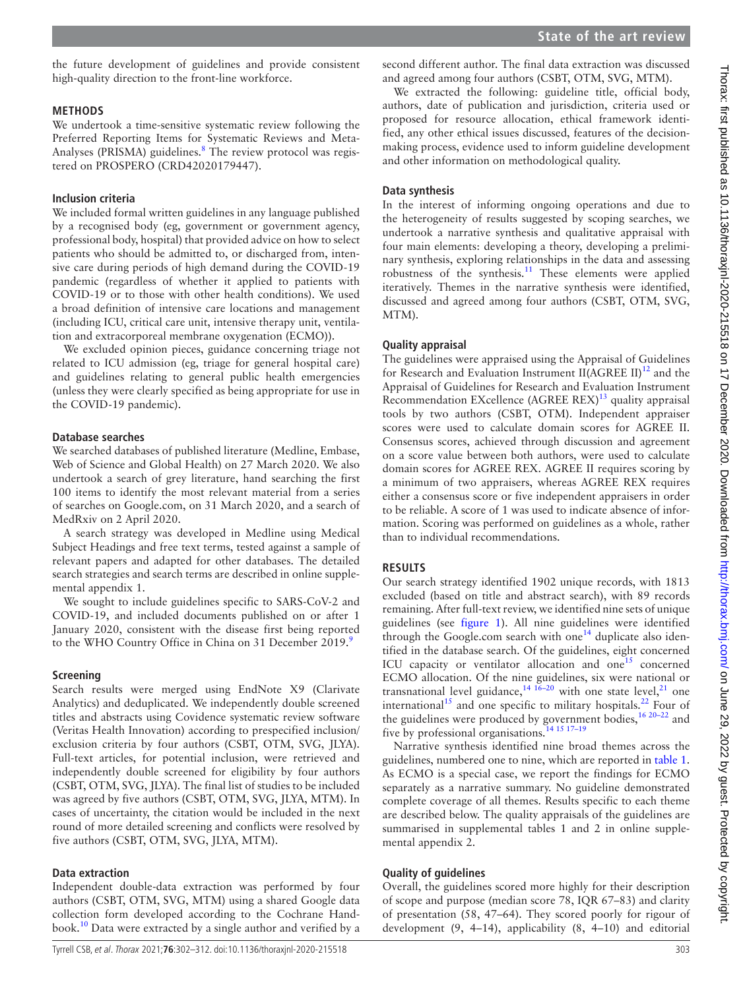the future development of guidelines and provide consistent high-quality direction to the front-line workforce.

# **METHODS**

We undertook a time-sensitive systematic review following the Preferred Reporting Items for Systematic Reviews and Meta-Analyses (PRISMA) guidelines.<sup>[8](#page-9-5)</sup> The review protocol was registered on PROSPERO (CRD42020179447).

# **Inclusion criteria**

We included formal written guidelines in any language published by a recognised body (eg, government or government agency, professional body, hospital) that provided advice on how to select patients who should be admitted to, or discharged from, intensive care during periods of high demand during the COVID-19 pandemic (regardless of whether it applied to patients with COVID-19 or to those with other health conditions). We used a broad definition of intensive care locations and management (including ICU, critical care unit, intensive therapy unit, ventilation and extracorporeal membrane oxygenation (ECMO)).

We excluded opinion pieces, guidance concerning triage not related to ICU admission (eg, triage for general hospital care) and guidelines relating to general public health emergencies (unless they were clearly specified as being appropriate for use in the COVID-19 pandemic).

# **Database searches**

We searched databases of published literature (Medline, Embase, Web of Science and Global Health) on 27 March 2020. We also undertook a search of grey literature, hand searching the first 100 items to identify the most relevant material from a series of searches on Google.com, on 31 March 2020, and a search of MedRxiv on 2 April 2020.

A search strategy was developed in Medline using Medical Subject Headings and free text terms, tested against a sample of relevant papers and adapted for other databases. The detailed search strategies and search terms are described in [online supple](https://dx.doi.org/10.1136/thoraxjnl-2020-215518)[mental appendix 1](https://dx.doi.org/10.1136/thoraxjnl-2020-215518).

We sought to include guidelines specific to SARS-CoV-2 and COVID-19, and included documents published on or after 1 January 2020, consistent with the disease first being reported to the WHO Country Office in China on 31 December 201[9](#page-9-6).<sup>9</sup>

# **Screening**

Search results were merged using EndNote X9 (Clarivate Analytics) and deduplicated. We independently double screened titles and abstracts using Covidence systematic review software (Veritas Health Innovation) according to prespecified inclusion/ exclusion criteria by four authors (CSBT, OTM, SVG, JLYA). Full-text articles, for potential inclusion, were retrieved and independently double screened for eligibility by four authors (CSBT, OTM, SVG, JLYA). The final list of studies to be included was agreed by five authors (CSBT, OTM, SVG, JLYA, MTM). In cases of uncertainty, the citation would be included in the next round of more detailed screening and conflicts were resolved by five authors (CSBT, OTM, SVG, JLYA, MTM).

# **Data extraction**

Independent double-data extraction was performed by four authors (CSBT, OTM, SVG, MTM) using a shared Google data collection form developed according to the Cochrane Handbook[.10](#page-9-7) Data were extracted by a single author and verified by a

We extracted the following: guideline title, official body, authors, date of publication and jurisdiction, criteria used or proposed for resource allocation, ethical framework identified, any other ethical issues discussed, features of the decisionmaking process, evidence used to inform guideline development and other information on methodological quality.

# **Data synthesis**

In the interest of informing ongoing operations and due to the heterogeneity of results suggested by scoping searches, we undertook a narrative synthesis and qualitative appraisal with four main elements: developing a theory, developing a preliminary synthesis, exploring relationships in the data and assessing robustness of the synthesis. $11$  These elements were applied iteratively. Themes in the narrative synthesis were identified, discussed and agreed among four authors (CSBT, OTM, SVG, MTM).

# **Quality appraisal**

The guidelines were appraised using the Appraisal of Guidelines for Research and Evaluation Instrument II(AGREE II)<sup>12</sup> and the Appraisal of Guidelines for Research and Evaluation Instrument Recommendation EXcellence  $(AGREE REX)^{13}$  quality appraisal tools by two authors (CSBT, OTM). Independent appraiser scores were used to calculate domain scores for AGREE II. Consensus scores, achieved through discussion and agreement on a score value between both authors, were used to calculate domain scores for AGREE REX. AGREE II requires scoring by a minimum of two appraisers, whereas AGREE REX requires either a consensus score or five independent appraisers in order to be reliable. A score of 1 was used to indicate absence of information. Scoring was performed on guidelines as a whole, rather than to individual recommendations.

# **RESULTS**

Our search strategy identified 1902 unique records, with 1813 excluded (based on title and abstract search), with 89 records remaining. After full-text review, we identified nine sets of unique guidelines (see [figure](#page-2-0) 1). All nine guidelines were identified through the Google.com search with one<sup>[14](#page-9-11)</sup> duplicate also identified in the database search. Of the guidelines, eight concerned ICU capacity or ventilator allocation and one<sup>15</sup> concerned ECMO allocation. Of the nine guidelines, six were national or transnational level guidance,  $14^{16-20}$  with one state level,  $21$  one international<sup>15</sup> and one specific to military hospitals.<sup>22</sup> Four of the guidelines were produced by government bodies,  $16\frac{20-22}{2}$  and five by professional organisations.<sup>14 15 17-19</sup>

Narrative synthesis identified nine broad themes across the guidelines, numbered one to nine, which are reported in [table](#page-3-0) 1. As ECMO is a special case, we report the findings for ECMO separately as a narrative summary. No guideline demonstrated complete coverage of all themes. Results specific to each theme are described below. The quality appraisals of the guidelines are summarised in supplemental tables 1 and 2 in [online supple](https://dx.doi.org/10.1136/thoraxjnl-2020-215518)[mental appendix 2.](https://dx.doi.org/10.1136/thoraxjnl-2020-215518)

# **Quality of guidelines**

Overall, the guidelines scored more highly for their description of scope and purpose (median score 78, IQR 67–83) and clarity of presentation (58, 47–64). They scored poorly for rigour of development (9, 4–14), applicability (8, 4–10) and editorial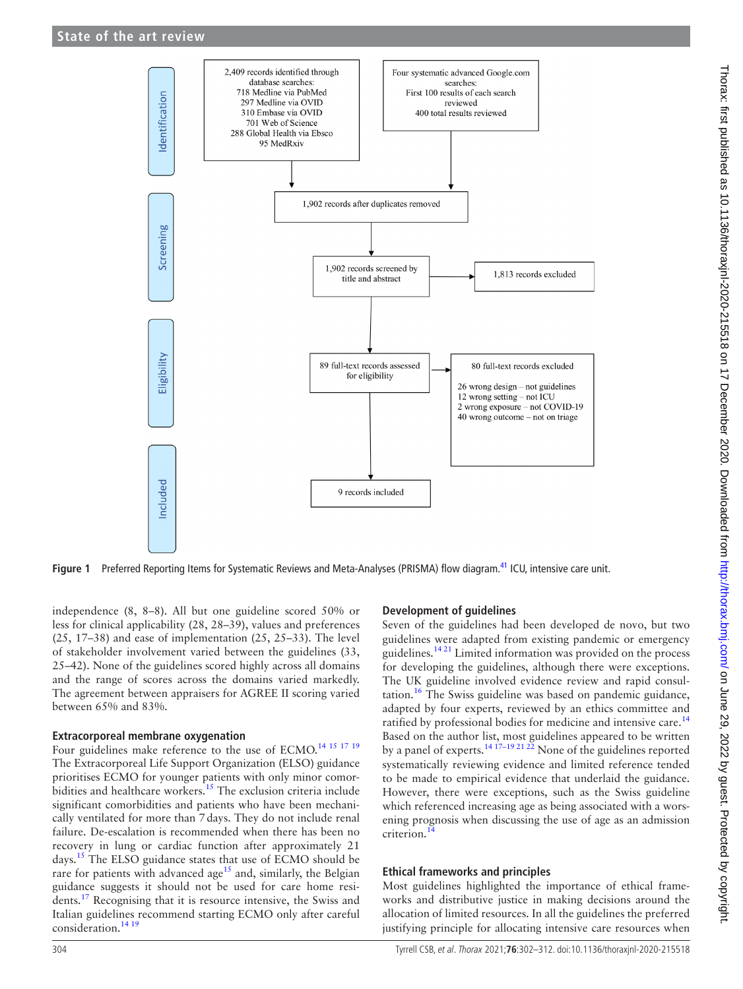

**Figure 1** Preferred Reporting Items for Systematic Reviews and Meta-Analyses (PRISMA) flow diagram.[41](#page-10-2) ICU, intensive care unit.

independence (8, 8–8). All but one guideline scored 50% or less for clinical applicability (28, 28–39), values and preferences (25, 17–38) and ease of implementation (25, 25–33). The level of stakeholder involvement varied between the guidelines (33, 25–42). None of the guidelines scored highly across all domains and the range of scores across the domains varied markedly. The agreement between appraisers for AGREE II scoring varied between 65% and 83%.

#### **Extracorporeal membrane oxygenation**

Four guidelines make reference to the use of ECMO.<sup>[14 15 17 19](#page-9-11)</sup> The Extracorporeal Life Support Organization (ELSO) guidance prioritises ECMO for younger patients with only minor comorbidities and healthcare workers.<sup>15</sup> The exclusion criteria include significant comorbidities and patients who have been mechanically ventilated for more than 7days. They do not include renal failure. De-escalation is recommended when there has been no recovery in lung or cardiac function after approximately 21 days.[15](#page-9-12) The ELSO guidance states that use of ECMO should be rare for patients with advanced age<sup>15</sup> and, similarly, the Belgian guidance suggests it should not be used for care home residents.<sup>17</sup> Recognising that it is resource intensive, the Swiss and Italian guidelines recommend starting ECMO only after careful consideration.<sup>[14 19](#page-9-11)</sup>

#### <span id="page-2-0"></span>**Development of guidelines**

Seven of the guidelines had been developed de novo, but two guidelines were adapted from existing pandemic or emergency guidelines.<sup>[14 21](#page-9-11)</sup> Limited information was provided on the process for developing the guidelines, although there were exceptions. The UK guideline involved evidence review and rapid consul-tation.<sup>[16](#page-9-13)</sup> The Swiss guideline was based on pandemic guidance, adapted by four experts, reviewed by an ethics committee and ratified by professional bodies for medicine and intensive care.<sup>[14](#page-9-11)</sup> Based on the author list, most guidelines appeared to be written by a panel of experts.<sup>14 17-19 21 22</sup> None of the guidelines reported systematically reviewing evidence and limited reference tended to be made to empirical evidence that underlaid the guidance. However, there were exceptions, such as the Swiss guideline which referenced increasing age as being associated with a worsening prognosis when discussing the use of age as an admission criterion[.14](#page-9-11)

#### **Ethical frameworks and principles**

Most guidelines highlighted the importance of ethical frameworks and distributive justice in making decisions around the allocation of limited resources. In all the guidelines the preferred justifying principle for allocating intensive care resources when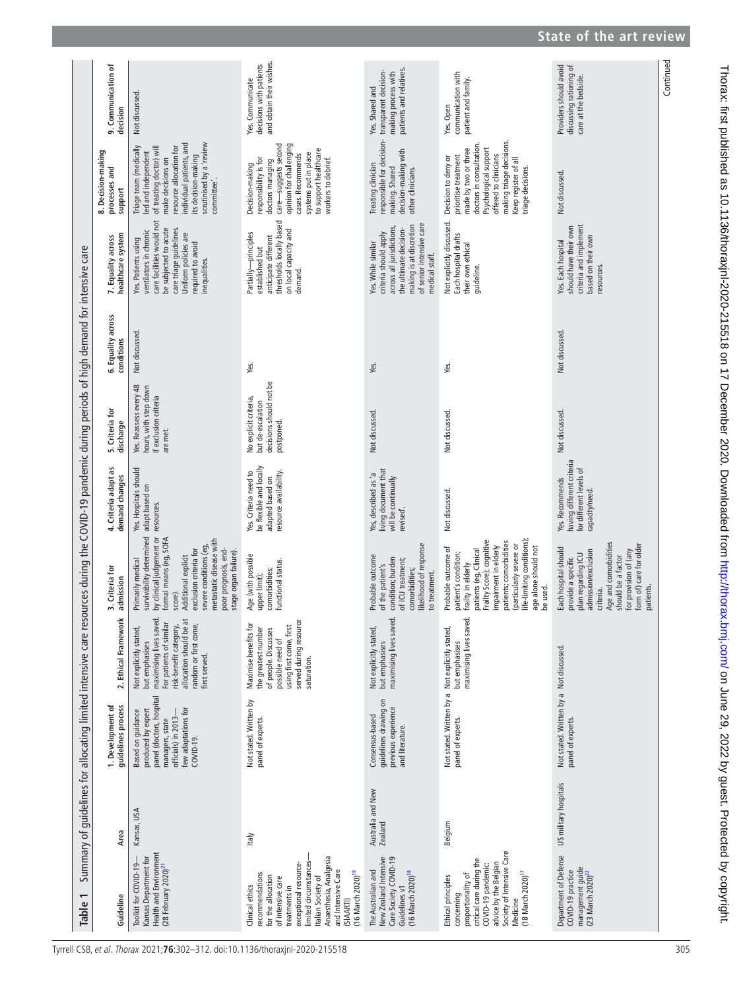<span id="page-3-0"></span>

|                                                                                                                                                     | 9. Communication of<br>decision                | Not discussed                                                                                                                                                                                                                                                       | and obtain their wishes.<br>decisions with patients<br>Yes. Communicate                                                                                                                                                                                              | patients and relatives.<br>transparent decision-<br>making process with<br>Yes. Shared and                                                                                  | communication with<br>patient and family.<br>Yes. Open                                                                                                                                                                                                                    | Providers should avoid<br>discussing rationing of<br>care at the bedside.                                                                                                                                            |
|-----------------------------------------------------------------------------------------------------------------------------------------------------|------------------------------------------------|---------------------------------------------------------------------------------------------------------------------------------------------------------------------------------------------------------------------------------------------------------------------|----------------------------------------------------------------------------------------------------------------------------------------------------------------------------------------------------------------------------------------------------------------------|-----------------------------------------------------------------------------------------------------------------------------------------------------------------------------|---------------------------------------------------------------------------------------------------------------------------------------------------------------------------------------------------------------------------------------------------------------------------|----------------------------------------------------------------------------------------------------------------------------------------------------------------------------------------------------------------------|
|                                                                                                                                                     | 8. Decision-making<br>processes and<br>support | scrutinised by a 'review<br>individual patients, and<br>resource allocation for<br>Triage team (medically<br>of treating doctor) will<br>led and independent<br>its decision-making<br>make decisions on<br>committee'.                                             | opinion for challenging<br>care-suggests second<br>to support healthcare<br>systems put in place<br>cases. Recommends<br>responsibility is for<br>workers to debrief.<br>doctors managing<br>Decision-making                                                         | responsible for decision-<br>decision-making with<br>Treating clinician<br>making. Shared<br>other clinicians.                                                              | making triage decisions.<br>doctors in consultation.<br>Psychological support<br>made by two or three<br>offered to clinicians<br>prioritise treatment<br>Decision to deny or<br>Keep register of all<br>triage decisions.                                                | Not discussed.                                                                                                                                                                                                       |
|                                                                                                                                                     | healthcare system<br>7. Equality across        | care facilities would not<br>care triage guidelines.<br>be subjected to acute<br>ventilators in chronic<br>Uniform policies are<br>Yes. Patients using<br>required to avoid<br>inequalities.                                                                        | thresholds locally based<br>on local capacity and<br>Partially-principles<br>anticipate different<br>established but<br>demand.                                                                                                                                      | of senior intensive care<br>making is at discretion<br>across all jurisdictions,<br>the ultimate decision-<br>criteria should apply<br>Yes. While similar<br>medical staff. | Not explicitly discussed.<br>Each hospital drafts<br>their own ethical<br>guideline.                                                                                                                                                                                      | criteria and implement<br>should have their own<br>based on their own<br>Yes. Each hospital<br>resources.                                                                                                            |
| Summary of guidelines for allocating limited intensive care resources during the COVID-19 pandemic during periods of high demand for intensive care | 6. Equality across<br>conditions               | Not discussed                                                                                                                                                                                                                                                       | Yes.                                                                                                                                                                                                                                                                 | Yes.                                                                                                                                                                        | Yes.                                                                                                                                                                                                                                                                      | Not discussed.                                                                                                                                                                                                       |
|                                                                                                                                                     | 5. Criteria for<br>discharge                   | Yes. Reassess every 48<br>hours, with step down<br>if exclusion criteria<br>are met.                                                                                                                                                                                | decisions should not be<br>No explicit criteria,<br>but de-escalation<br>postponed.                                                                                                                                                                                  | Not discussed.                                                                                                                                                              | Not discussed.                                                                                                                                                                                                                                                            | Not discussed.                                                                                                                                                                                                       |
|                                                                                                                                                     | 4. Criteria adapt as<br>demand changes         | Yes. Hospitals should<br>adapt based on<br>resources.                                                                                                                                                                                                               | be flexible and locally<br>resource availability.<br>Yes. Criteria need to<br>adapted based on                                                                                                                                                                       | living document that<br>Yes, described as 'a<br>will be continually<br>revised'.                                                                                            | Not discussed.                                                                                                                                                                                                                                                            | having different criteria<br>for different levels of<br>Yes. Recommends<br>capacity/need.                                                                                                                            |
|                                                                                                                                                     | 3. Criteria for<br>admission                   | by dinical judgement or<br>survivability determined<br>formal means (eg, SOFA<br>metastatic disease with<br>severe conditions (eg,<br>exclusion criteria for<br>poor prognosis, end-<br>stage organ failure)<br>Additional explicit<br>Primarily medical<br>score). | Age (with possible<br>functional status.<br>comorbidities;<br>upper limit);                                                                                                                                                                                          | likelihood of response<br>Probable outcome<br>condition; burden<br>of ICU treatment;<br>of the patient's<br>comorbidities;<br>to treatment.                                 | life-limiting conditions);<br>Frailty Score); cognitive<br>patients; comorbidities<br>impairment in elderly<br>(particularly severe or<br>Probable outcome of<br>age alone should not<br>patients (eg, Clinical<br>patient's condition;<br>frailty in elderly<br>be used. | Age and comorbidities<br>form of) care for older<br>Each hospital should<br>for provision of (any<br>admission/exclusion<br>plan regarding ICU<br>should be a factor<br>provide a specific<br>patients.<br>criteria. |
|                                                                                                                                                     | 2. Ethical Framework                           | maximising lives saved.<br>allocation should be at<br>For patients of similar<br>random or first come,<br>risk-benefit category,<br>Not explicitly stated,<br>but emphasises<br>first served.                                                                       | served during resource<br>Maximise benefits for<br>using first come, first<br>the greatest number<br>of people. Discusses<br>possible need of<br>saturation.                                                                                                         | maximising lives saved.<br>Not explicitly stated,<br>but emphasises                                                                                                         | maximising lives saved.<br>but emphasises                                                                                                                                                                                                                                 |                                                                                                                                                                                                                      |
|                                                                                                                                                     | guidelines process<br>1. Development of        | panel (doctors, hospital<br>few adaptations for<br>produced by expert<br>Based on guidance<br>officials) in 2013-<br>managers, state<br>COVID-19.                                                                                                                   | Not stated. Written by<br>panel of experts.                                                                                                                                                                                                                          | guidelines drawing on<br>previous experience<br>Consensus-based<br>and literature.                                                                                          | Not stated. Written by a Not explicitly stated,<br>panel of experts.                                                                                                                                                                                                      | Not stated. Written by a Not discussed.<br>panel of experts.                                                                                                                                                         |
|                                                                                                                                                     | Area                                           | Kansas, USA                                                                                                                                                                                                                                                         | Italy                                                                                                                                                                                                                                                                | Australia and New<br><b>Zealand</b>                                                                                                                                         | Belgium                                                                                                                                                                                                                                                                   | US military hospitals                                                                                                                                                                                                |
| Table 1                                                                                                                                             | Guideline                                      | Health and Environment<br>Kansas Department for<br>Toolkit for COVID-19<br>$(28$ February $2020)^2$                                                                                                                                                                 | Anaesthesia, Analgesia<br>limited circumstances<br>exceptional resource-<br>and Intensive Care<br>(16 March 2020) <sup>19</sup><br>recommendations<br>for the allocation<br>Italian Society of<br>of intensive care<br>Clinical ethics<br>treatments in<br>(SIAARTI) | Care Society COVID-19<br>New Zealand Intensive<br>The Australian and<br>(16 March 2020) <sup>18</sup><br>Guidelines v1                                                      | Society of Intensive Care<br>critical care during the<br>advice by the Belgian<br>COVID-19 pandemic:<br>(18 March 2020) <sup>17</sup><br>proportionality of<br>Ethical principles<br>concerning<br>Medicine                                                               | Department of Defense<br>management guide<br>(23 March 2020) $^2$<br>COVID-19 practice                                                                                                                               |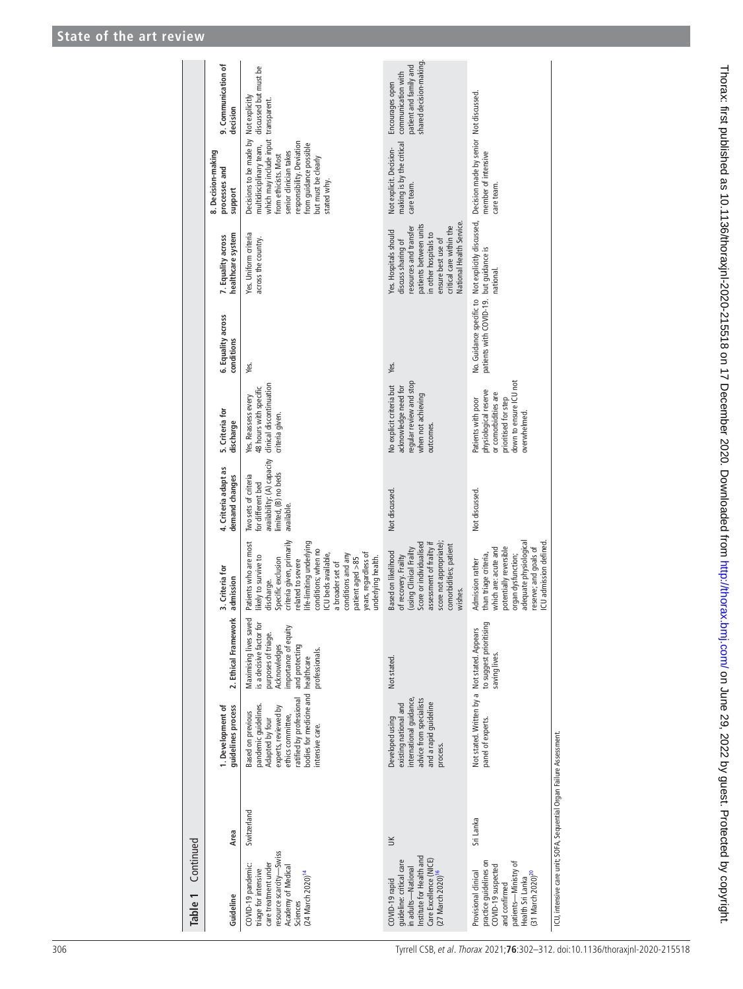| Continued<br>Table 1                                                                                                                                               |                                                                      |                                                                                                                                                                                                      |                                                                                                                                                       |                                                                                                                                                                                                                                                                                                                           |                                                                                                               |                                                                                                                                       |                                  |                                                                                                                                                                                                       |                                                                                                                                                                                                                                           |                                                                                           |
|--------------------------------------------------------------------------------------------------------------------------------------------------------------------|----------------------------------------------------------------------|------------------------------------------------------------------------------------------------------------------------------------------------------------------------------------------------------|-------------------------------------------------------------------------------------------------------------------------------------------------------|---------------------------------------------------------------------------------------------------------------------------------------------------------------------------------------------------------------------------------------------------------------------------------------------------------------------------|---------------------------------------------------------------------------------------------------------------|---------------------------------------------------------------------------------------------------------------------------------------|----------------------------------|-------------------------------------------------------------------------------------------------------------------------------------------------------------------------------------------------------|-------------------------------------------------------------------------------------------------------------------------------------------------------------------------------------------------------------------------------------------|-------------------------------------------------------------------------------------------|
| Guideline                                                                                                                                                          | Area                                                                 | guidelines process<br>1. Development of                                                                                                                                                              | 2. Ethical Framework                                                                                                                                  | 3. Criteria for<br>admission                                                                                                                                                                                                                                                                                              | 4. Criteria adapt as<br>demand changes                                                                        | 5. Criteria for<br>discharge                                                                                                          | 6. Equality across<br>conditions | healthcare system<br>7. Equality across                                                                                                                                                               | 8. Decision-making<br>processes and<br>support                                                                                                                                                                                            | 9. Communication of<br>decision                                                           |
| resource scarcity-Swiss<br>care treatment under<br>COVID-19 pandemic:<br>Academy of Medical<br>triage for intensive<br>(24 March 2020) <sup>14</sup><br>Sciences   | Switzerland                                                          | bodies for medicine and healthcare<br>ratified by professional<br>pandemic guidelines.<br>experts, reviewed by<br><b>Based on previous</b><br>ethics committee,<br>Adapted by four<br>ntensive care. | Maximising lives saved<br>is a decisive factor for<br>importance of equity<br>purposes of triage.<br>Acknowledges<br>and protecting<br>professionals. | criteria given, primarily<br>life-limiting underlying<br>Patients who are most<br>conditions; when no<br>ICU beds available,<br>years, regardless of<br>conditions and any<br>likely to survive to<br>underlying health.<br>Specific exclusion<br>patient aged >85<br>related to severe<br>a broader set of<br>discharge. | availability: (A) capacity<br>limited, (B) no beds<br>Iwo sets of criteria<br>for different bed<br>available. | clinical discontinuation<br>48 hours with specific<br>Yes. Reassess every<br>criteria given.                                          | Yes.                             | Yes. Uniform criteria<br>across the country.                                                                                                                                                          | which may include input transparent.<br>Decisions to be made by<br>responsibility. Deviation<br>from guidance possible<br>multidisciplinary team,<br>senior clinician takes<br>from ethicists. Most<br>but must be clearly<br>stated why. | discussed but must be<br>Not explicitly                                                   |
| Institute for Health and<br>Care Excellence (NICE)<br>guideline: critical care<br>in adults-National<br>(27 March 2020) <sup>16</sup><br>COVID-19 rapid            | $\leq$                                                               | international guidance,<br>advice from specialists<br>and a rapid guideline<br>existing national and<br>Developed using<br>process.                                                                  | Not stated.                                                                                                                                           | Score or individualised<br>assessment of frailty if<br>score not appropriate)<br>comorbidities; patient<br>(using Clinical Frailty<br><b>Based on likelihood</b><br>of recovery. Frailty<br>wishes.                                                                                                                       | Not discussed.                                                                                                | regular review and stop<br>No explicit criteria but<br>acknowledge need for<br>when not achieving<br>outcomes.                        | Yes.                             | National Health Service.<br>critical care within the<br>patients between units<br>resources and transfer<br>Yes. Hospitals should<br>n other hospitals to<br>ensure best use of<br>discuss sharing of | making is by the critical<br>Not explicit. Decision-<br>care team.                                                                                                                                                                        | shared decision-making<br>patient and family and<br>communication with<br>Encourages open |
| practice guidelines on<br>patients-Ministry of<br>COVID-19 suspected<br>Provisional clinical<br>[31 March 2020) <sup>20</sup><br>Health Sri Lanka<br>and confirmed | Sri Lanka                                                            | Not stated. Written by a Not stated. Appears<br>panel of experts.                                                                                                                                    | to suggest prioritising<br>saving lives.                                                                                                              | adequate physiological<br>ICU admission defined<br>potentially reversible<br>reserve; and goals of<br>which are: acute and<br>than triage criteria,<br>organ dysfunction;<br>Admission rather                                                                                                                             | Not discussed.                                                                                                | down to ensure ICU not<br>physiological reserve<br>or comorbidities are<br>Patients with poor<br>prioritised for step<br>overwhelmed. | patients with COVID-19.          | No. Guidance specific to Not explicitly discussed,<br>but guidance is<br>hational                                                                                                                     | Decision made by senior Not discussed.<br>member of intensive<br>care team.                                                                                                                                                               |                                                                                           |
|                                                                                                                                                                    | ICU, intensive care unit; SOFA, Sequential Organ Failure Assessment. |                                                                                                                                                                                                      |                                                                                                                                                       |                                                                                                                                                                                                                                                                                                                           |                                                                                                               |                                                                                                                                       |                                  |                                                                                                                                                                                                       |                                                                                                                                                                                                                                           |                                                                                           |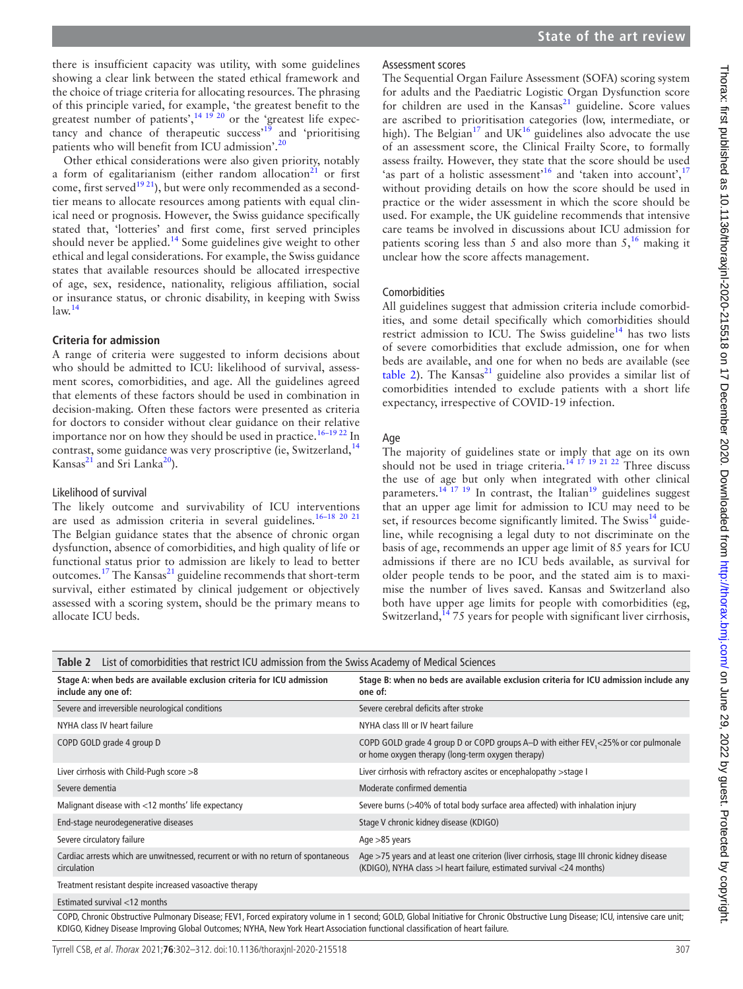there is insufficient capacity was utility, with some guidelines showing a clear link between the stated ethical framework and the choice of triage criteria for allocating resources. The phrasing of this principle varied, for example, 'the greatest benefit to the greatest number of patients', $14 \frac{19}{20}$  or the 'greatest life expec-tancy and chance of therapeutic success<sup>[19](#page-9-15)</sup> and 'prioritising patients who will benefit from ICU admission'.<sup>[20](#page-9-17)</sup>

Other ethical considerations were also given priority, notably a form of egalitarianism (either random allocation $21$  or first come, first served<sup>19 21</sup>), but were only recommended as a secondtier means to allocate resources among patients with equal clinical need or prognosis. However, the Swiss guidance specifically stated that, 'lotteries' and first come, first served principles should never be applied.<sup>[14](#page-9-11)</sup> Some guidelines give weight to other ethical and legal considerations. For example, the Swiss guidance states that available resources should be allocated irrespective of age, sex, residence, nationality, religious affiliation, social or insurance status, or chronic disability, in keeping with Swiss  $law<sup>14</sup>$  $law<sup>14</sup>$  $law<sup>14</sup>$ 

#### **Criteria for admission**

A range of criteria were suggested to inform decisions about who should be admitted to ICU: likelihood of survival, assessment scores, comorbidities, and age. All the guidelines agreed that elements of these factors should be used in combination in decision-making. Often these factors were presented as criteria for doctors to consider without clear guidance on their relative importance nor on how they should be used in practice.<sup>16-19 22</sup> In contrast, some guidance was very proscriptive (ie, Switzerland,<sup>[14](#page-9-11)</sup> Kansas $^{21}$  $^{21}$  $^{21}$  and Sri Lanka $^{20}$  $^{20}$  $^{20}$ ).

#### Likelihood of survival

The likely outcome and survivability of ICU interventions are used as admission criteria in several guidelines.[16–18 20 21](#page-9-13) The Belgian guidance states that the absence of chronic organ dysfunction, absence of comorbidities, and high quality of life or functional status prior to admission are likely to lead to better outcomes.<sup>17</sup> The Kansas<sup>[21](#page-10-0)</sup> guideline recommends that short-term survival, either estimated by clinical judgement or objectively assessed with a scoring system, should be the primary means to allocate ICU beds.

#### Assessment scores

The Sequential Organ Failure Assessment (SOFA) scoring system for adults and the Paediatric Logistic Organ Dysfunction score for children are used in the  $Kansas<sup>21</sup>$  guideline. Score values are ascribed to prioritisation categories (low, intermediate, or high). The Belgian<sup>17</sup> and UK<sup>[16](#page-9-13)</sup> guidelines also advocate the use of an assessment score, the Clinical Frailty Score, to formally assess frailty. However, they state that the score should be used 'as part of a holistic assessment'<sup>16</sup> and 'taken into account',<sup>[17](#page-9-14)</sup> without providing details on how the score should be used in practice or the wider assessment in which the score should be used. For example, the UK guideline recommends that intensive care teams be involved in discussions about ICU admission for patients scoring less than 5 and also more than  $5<sup>16</sup>$  $5<sup>16</sup>$  $5<sup>16</sup>$  making it unclear how the score affects management.

#### Comorbidities

All guidelines suggest that admission criteria include comorbidities, and some detail specifically which comorbidities should restrict admission to ICU. The Swiss guideline<sup>[14](#page-9-11)</sup> has two lists of severe comorbidities that exclude admission, one for when beds are available, and one for when no beds are available (see [table](#page-5-0) 2). The Kansas<sup>21</sup> guideline also provides a similar list of comorbidities intended to exclude patients with a short life expectancy, irrespective of COVID-19 infection.

#### Age

The majority of guidelines state or imply that age on its own should not be used in triage criteria.<sup>14 17</sup> <sup>19</sup> <sup>21</sup> <sup>22</sup> Three discuss the use of age but only when integrated with other clinical parameters.<sup>[14 17 19](#page-9-11)</sup> In contrast, the Italian<sup>19</sup> guidelines suggest that an upper age limit for admission to ICU may need to be set, if resources become significantly limited. The Swiss $^{14}$  guideline, while recognising a legal duty to not discriminate on the basis of age, recommends an upper age limit of 85 years for ICU admissions if there are no ICU beds available, as survival for older people tends to be poor, and the stated aim is to maximise the number of lives saved. Kansas and Switzerland also both have upper age limits for people with comorbidities (eg, Switzerland, $14$  75 years for people with significant liver cirrhosis,

<span id="page-5-0"></span>

| Stage A: when beds are available exclusion criteria for ICU admission<br>include any one of:                                                                                     | Stage B: when no beds are available exclusion criteria for ICU admission include any<br>one of:                                                                          |  |  |  |
|----------------------------------------------------------------------------------------------------------------------------------------------------------------------------------|--------------------------------------------------------------------------------------------------------------------------------------------------------------------------|--|--|--|
| Severe and irreversible neurological conditions                                                                                                                                  | Severe cerebral deficits after stroke                                                                                                                                    |  |  |  |
| NYHA class IV heart failure                                                                                                                                                      | NYHA class III or IV heart failure                                                                                                                                       |  |  |  |
| COPD GOLD grade 4 group D                                                                                                                                                        | COPD GOLD grade 4 group D or COPD groups A-D with either FEV, <25% or cor pulmonale<br>or home oxygen therapy (long-term oxygen therapy)                                 |  |  |  |
| Liver cirrhosis with Child-Pugh score >8                                                                                                                                         | Liver cirrhosis with refractory ascites or encephalopathy > stage I                                                                                                      |  |  |  |
| Severe dementia                                                                                                                                                                  | Moderate confirmed dementia                                                                                                                                              |  |  |  |
| Malignant disease with $<$ 12 months' life expectancy                                                                                                                            | Severe burns (>40% of total body surface area affected) with inhalation injury                                                                                           |  |  |  |
| End-stage neurodegenerative diseases                                                                                                                                             | Stage V chronic kidney disease (KDIGO)                                                                                                                                   |  |  |  |
| Severe circulatory failure                                                                                                                                                       | Age $>85$ years                                                                                                                                                          |  |  |  |
| Cardiac arrests which are unwitnessed, recurrent or with no return of spontaneous<br>circulation                                                                                 | Age >75 years and at least one criterion (liver cirrhosis, stage III chronic kidney disease<br>(KDIGO), NYHA class $>1$ heart failure, estimated survival $<$ 24 months) |  |  |  |
| Treatment resistant despite increased vasoactive therapy                                                                                                                         |                                                                                                                                                                          |  |  |  |
| Estimated survival <12 months                                                                                                                                                    |                                                                                                                                                                          |  |  |  |
| COPD, Chronic Obstructive Pulmonary Disease: FFV1, Forced expiratory volume in 1 second: GOLD, Global Initiative for Chronic Obstructive Lung Disease: ICU, intensive care unit: |                                                                                                                                                                          |  |  |  |

COPD, Chronic Obstructive Pulmonary Disease; FEV1, Forced expiratory volume in 1 second; GOLD, Global Initiative for Chronic Obstructive Lung Disease; ICU, intensive care unit; KDIGO, Kidney Disease Improving Global Outcomes; NYHA, New York Heart Association functional classification of heart failure.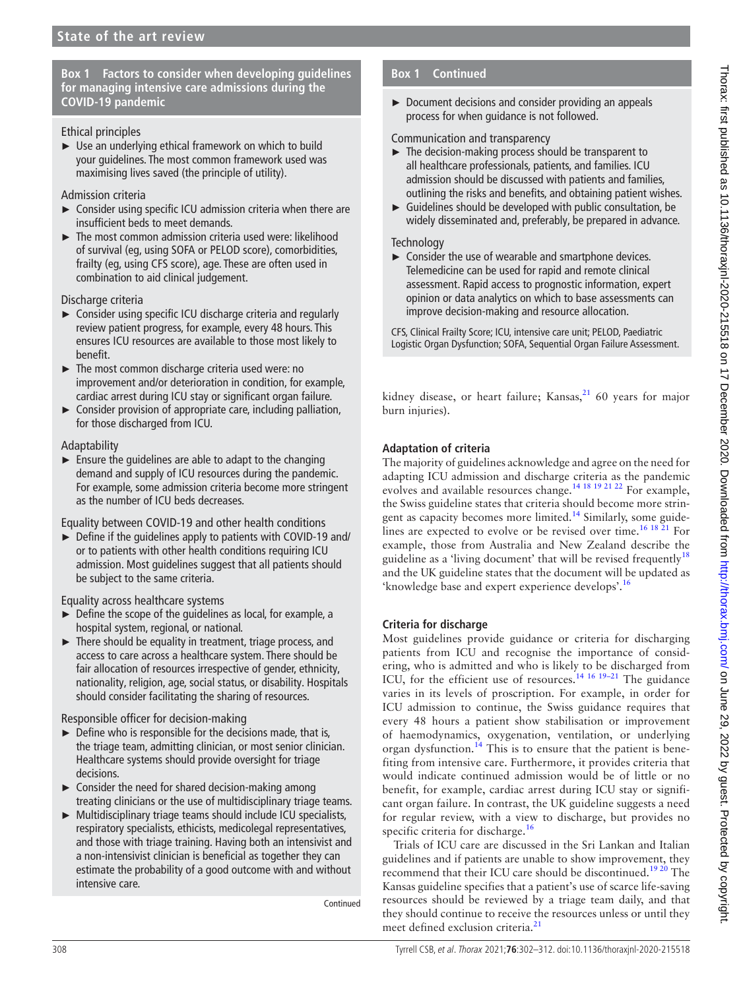# **Box 1 Factors to consider when developing guidelines for managing intensive care admissions during the COVID-19 pandemic**

#### <span id="page-6-0"></span>Ethical principles

 $\triangleright$  Use an underlying ethical framework on which to build your guidelines. The most common framework used was maximising lives saved (the principle of utility).

#### Admission criteria

- ► Consider using specific ICU admission criteria when there are insufficient beds to meet demands.
- ► The most common admission criteria used were: likelihood of survival (eg, using SOFA or PELOD score), comorbidities, frailty (eg, using CFS score), age. These are often used in combination to aid clinical judgement.

#### Discharge criteria

- ► Consider using specific ICU discharge criteria and regularly review patient progress, for example, every 48 hours. This ensures ICU resources are available to those most likely to benefit.
- ► The most common discharge criteria used were: no improvement and/or deterioration in condition, for example, cardiac arrest during ICU stay or significant organ failure.
- ► Consider provision of appropriate care, including palliation, for those discharged from ICU.

#### Adaptability

 $\blacktriangleright$  Ensure the quidelines are able to adapt to the changing demand and supply of ICU resources during the pandemic. For example, some admission criteria become more stringent as the number of ICU beds decreases.

Equality between COVID-19 and other health conditions

► Define if the guidelines apply to patients with COVID-19 and/ or to patients with other health conditions requiring ICU admission. Most guidelines suggest that all patients should be subject to the same criteria.

Equality across healthcare systems

- ► Define the scope of the guidelines as local, for example, a hospital system, regional, or national.
- ► There should be equality in treatment, triage process, and access to care across a healthcare system. There should be fair allocation of resources irrespective of gender, ethnicity, nationality, religion, age, social status, or disability. Hospitals should consider facilitating the sharing of resources.

Responsible officer for decision-making

- $\triangleright$  Define who is responsible for the decisions made, that is, the triage team, admitting clinician, or most senior clinician. Healthcare systems should provide oversight for triage decisions.
- $\triangleright$  Consider the need for shared decision-making among treating clinicians or the use of multidisciplinary triage teams.
- ► Multidisciplinary triage teams should include ICU specialists, respiratory specialists, ethicists, medicolegal representatives, and those with triage training. Having both an intensivist and a non-intensivist clinician is beneficial as together they can estimate the probability of a good outcome with and without intensive care.

Continued

# **Box 1 Continued**

► Document decisions and consider providing an appeals process for when guidance is not followed.

#### Communication and transparency

- ► The decision-making process should be transparent to all healthcare professionals, patients, and families. ICU admission should be discussed with patients and families, outlining the risks and benefits, and obtaining patient wishes.
- ► Guidelines should be developed with public consultation, be widely disseminated and, preferably, be prepared in advance.

#### **Technology**

► Consider the use of wearable and smartphone devices. Telemedicine can be used for rapid and remote clinical assessment. Rapid access to prognostic information, expert opinion or data analytics on which to base assessments can improve decision-making and resource allocation.

CFS, Clinical Frailty Score; ICU, intensive care unit; PELOD, Paediatric Logistic Organ Dysfunction; SOFA, Sequential Organ Failure Assessment.

kidney disease, or heart failure; Kansas, $21$  60 years for major burn injuries).

# **Adaptation of criteria**

The majority of guidelines acknowledge and agree on the need for adapting ICU admission and discharge criteria as the pandemic evolves and available resources change.[14 18 19 21 22](#page-9-11) For example, the Swiss guideline states that criteria should become more strin-gent as capacity becomes more limited.<sup>[14](#page-9-11)</sup> Similarly, some guidelines are expected to evolve or be revised over time.<sup>16 18 21</sup> For example, those from Australia and New Zealand describe the guideline as a 'living document' that will be revised frequently<sup>[18](#page-9-16)</sup> and the UK guideline states that the document will be updated as 'knowledge base and expert experience develops'[.16](#page-9-13)

# **Criteria for discharge**

Most guidelines provide guidance or criteria for discharging patients from ICU and recognise the importance of considering, who is admitted and who is likely to be discharged from ICU, for the efficient use of resources.<sup>[14 16 19–21](#page-9-11)</sup> The guidance varies in its levels of proscription. For example, in order for ICU admission to continue, the Swiss guidance requires that every 48 hours a patient show stabilisation or improvement of haemodynamics, oxygenation, ventilation, or underlying organ dysfunction.<sup>[14](#page-9-11)</sup> This is to ensure that the patient is benefiting from intensive care. Furthermore, it provides criteria that would indicate continued admission would be of little or no benefit, for example, cardiac arrest during ICU stay or significant organ failure. In contrast, the UK guideline suggests a need for regular review, with a view to discharge, but provides no specific criteria for discharge.<sup>[16](#page-9-13)</sup>

Trials of ICU care are discussed in the Sri Lankan and Italian guidelines and if patients are unable to show improvement, they recommend that their ICU care should be discontinued.<sup>19 20</sup> The Kansas guideline specifies that a patient's use of scarce life-saving resources should be reviewed by a triage team daily, and that they should continue to receive the resources unless or until they meet defined exclusion criteria.<sup>[21](#page-10-0)</sup>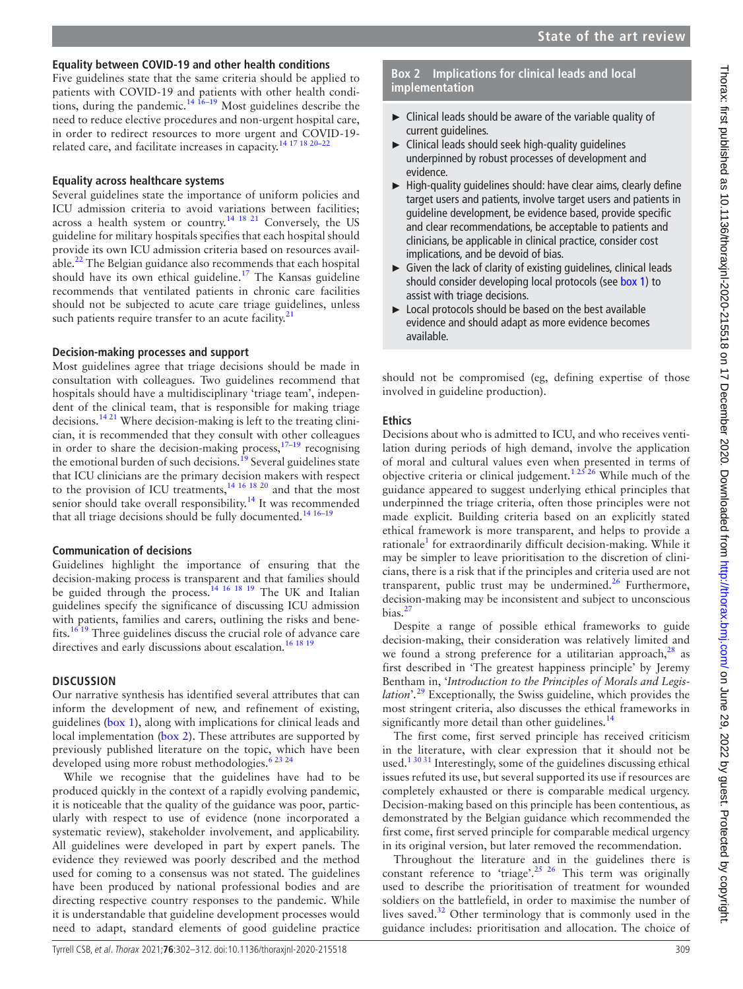# Thorax: first published as 10.1136/thoraxjnl-2020-215518 on 17 December 2020. Downloaded from lom <http://thorax.bmj.com/> on June 29, 2022 by guest. Protected by copyright. Thorax: first published as 10.1136/thoraxjnl-2020-215518 on 17 December 2020. Downloaded from http://thorax.bmj.com/ on June 29, 2022 by guest. Protected by copyright

# **Equality between COVID-19 and other health conditions**

Five guidelines state that the same criteria should be applied to patients with COVID-19 and patients with other health condi-tions, during the pandemic.<sup>[14 16–19](#page-9-11)</sup> Most guidelines describe the need to reduce elective procedures and non-urgent hospital care, in order to redirect resources to more urgent and COVID-19 related care, and facilitate increases in capacity.<sup>14 17 18 20-22</sup>

#### **Equality across healthcare systems**

Several guidelines state the importance of uniform policies and ICU admission criteria to avoid variations between facilities; across a health system or country.<sup>14 18 21</sup> Conversely, the US guideline for military hospitals specifies that each hospital should provide its own ICU admission criteria based on resources available.<sup>22</sup> The Belgian guidance also recommends that each hospital should have its own ethical guideline.<sup>[17](#page-9-14)</sup> The Kansas guideline recommends that ventilated patients in chronic care facilities should not be subjected to acute care triage guidelines, unless such patients require transfer to an acute facility. $21$ 

#### **Decision-making processes and support**

Most guidelines agree that triage decisions should be made in consultation with colleagues. Two guidelines recommend that hospitals should have a multidisciplinary 'triage team', independent of the clinical team, that is responsible for making triage decisions[.14 21](#page-9-11) Where decision-making is left to the treating clinician, it is recommended that they consult with other colleagues in order to share the decision-making process, $17-19$  recognising the emotional burden of such decisions.<sup>[19](#page-9-15)</sup> Several guidelines state that ICU clinicians are the primary decision makers with respect to the provision of ICU treatments,<sup>14 16 18 20</sup> and that the most senior should take overall responsibility.<sup>14</sup> It was recommended that all triage decisions should be fully documented.<sup>14 16-19</sup>

#### **Communication of decisions**

Guidelines highlight the importance of ensuring that the decision-making process is transparent and that families should be guided through the process.<sup>[14 16 18 19](#page-9-11)</sup> The UK and Italian guidelines specify the significance of discussing ICU admission with patients, families and carers, outlining the risks and benefits[.16 19](#page-9-13) Three guidelines discuss the crucial role of advance care directives and early discussions about escalation.<sup>[16 18 19](#page-9-13)</sup>

#### **DISCUSSION**

Our narrative synthesis has identified several attributes that can inform the development of new, and refinement of existing, guidelines [\(box](#page-6-0) 1), along with implications for clinical leads and local implementation [\(box](#page-7-0) 2). These attributes are supported by previously published literature on the topic, which have been developed using more robust methodologies.<sup>[6 23 24](#page-9-3)</sup>

While we recognise that the guidelines have had to be produced quickly in the context of a rapidly evolving pandemic, it is noticeable that the quality of the guidance was poor, particularly with respect to use of evidence (none incorporated a systematic review), stakeholder involvement, and applicability. All guidelines were developed in part by expert panels. The evidence they reviewed was poorly described and the method used for coming to a consensus was not stated. The guidelines have been produced by national professional bodies and are directing respective country responses to the pandemic. While it is understandable that guideline development processes would need to adapt, standard elements of good guideline practice

#### **Box 2 Implications for clinical leads and local implementation**

- <span id="page-7-0"></span>► Clinical leads should be aware of the variable quality of current guidelines.
- ► Clinical leads should seek high-quality guidelines underpinned by robust processes of development and evidence.
- ► High-quality guidelines should: have clear aims, clearly define target users and patients, involve target users and patients in guideline development, be evidence based, provide specific and clear recommendations, be acceptable to patients and clinicians, be applicable in clinical practice, consider cost implications, and be devoid of bias.
- ► Given the lack of clarity of existing guidelines, clinical leads should consider developing local protocols (see [box 1\)](#page-6-0) to assist with triage decisions.
- ► Local protocols should be based on the best available evidence and should adapt as more evidence becomes available.

should not be compromised (eg, defining expertise of those involved in guideline production).

#### **Ethics**

Decisions about who is admitted to ICU, and who receives ventilation during periods of high demand, involve the application of moral and cultural values even when presented in terms of objective criteria or clinical judgement.<sup>12526</sup> While much of the guidance appeared to suggest underlying ethical principles that underpinned the triage criteria, often those principles were not made explicit. Building criteria based on an explicitly stated ethical framework is more transparent, and helps to provide a rationale<sup>[1](#page-9-0)</sup> for extraordinarily difficult decision-making. While it may be simpler to leave prioritisation to the discretion of clinicians, there is a risk that if the principles and criteria used are not transparent, public trust may be undermined.<sup>[26](#page-10-3)</sup> Furthermore, decision-making may be inconsistent and subject to unconscious bias. $27$ 

Despite a range of possible ethical frameworks to guide decision-making, their consideration was relatively limited and we found a strong preference for a utilitarian approach, $28$  as first described in 'The greatest happiness principle' by Jeremy Bentham in, '*Introduction to the Principles of Morals and Legislation*'*.* [29](#page-10-6) Exceptionally, the Swiss guideline, which provides the most stringent criteria, also discusses the ethical frameworks in significantly more detail than other guidelines. $14$ 

The first come, first served principle has received criticism in the literature, with clear expression that it should not be used.<sup>13031</sup> Interestingly, some of the guidelines discussing ethical issues refuted its use, but several supported its use if resources are completely exhausted or there is comparable medical urgency. Decision-making based on this principle has been contentious, as demonstrated by the Belgian guidance which recommended the first come, first served principle for comparable medical urgency in its original version, but later removed the recommendation.

Throughout the literature and in the guidelines there is constant reference to 'triage'.<sup>[25 26](#page-10-7)</sup> This term was originally used to describe the prioritisation of treatment for wounded soldiers on the battlefield, in order to maximise the number of lives saved.[32](#page-10-8) Other terminology that is commonly used in the guidance includes: prioritisation and allocation. The choice of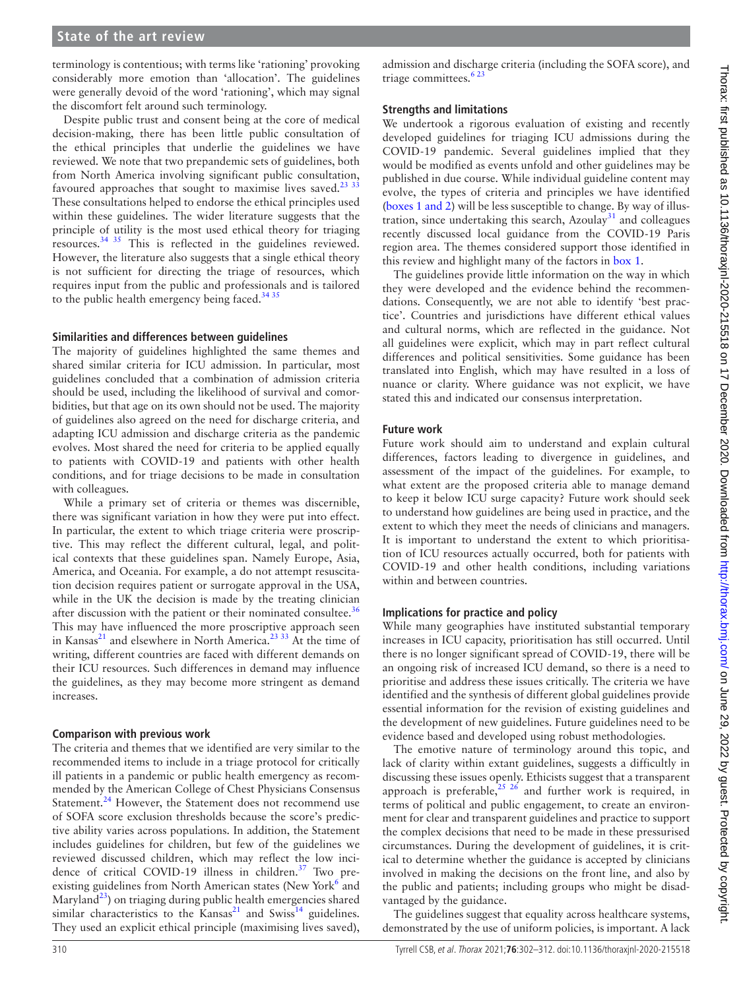#### **State of the art review**

terminology is contentious; with terms like 'rationing' provoking considerably more emotion than 'allocation'. The guidelines were generally devoid of the word 'rationing', which may signal the discomfort felt around such terminology.

Despite public trust and consent being at the core of medical decision-making, there has been little public consultation of the ethical principles that underlie the guidelines we have reviewed. We note that two prepandemic sets of guidelines, both from North America involving significant public consultation, favoured approaches that sought to maximise lives saved. $2333$ These consultations helped to endorse the ethical principles used within these guidelines. The wider literature suggests that the principle of utility is the most used ethical theory for triaging resources.[34 35](#page-10-10) This is reflected in the guidelines reviewed. However, the literature also suggests that a single ethical theory is not sufficient for directing the triage of resources, which requires input from the public and professionals and is tailored to the public health emergency being faced. $3435$ 

#### **Similarities and differences between guidelines**

The majority of guidelines highlighted the same themes and shared similar criteria for ICU admission. In particular, most guidelines concluded that a combination of admission criteria should be used, including the likelihood of survival and comorbidities, but that age on its own should not be used. The majority of guidelines also agreed on the need for discharge criteria, and adapting ICU admission and discharge criteria as the pandemic evolves. Most shared the need for criteria to be applied equally to patients with COVID-19 and patients with other health conditions, and for triage decisions to be made in consultation with colleagues.

While a primary set of criteria or themes was discernible, there was significant variation in how they were put into effect. In particular, the extent to which triage criteria were proscriptive. This may reflect the different cultural, legal, and political contexts that these guidelines span. Namely Europe, Asia, America, and Oceania. For example, a do not attempt resuscitation decision requires patient or surrogate approval in the USA, while in the UK the decision is made by the treating clinician after discussion with the patient or their nominated consultee. $36$ This may have influenced the more proscriptive approach seen in Kansas<sup>[21](#page-10-0)</sup> and elsewhere in North America.<sup>23 33</sup> At the time of writing, different countries are faced with different demands on their ICU resources. Such differences in demand may influence the guidelines, as they may become more stringent as demand increases.

#### **Comparison with previous work**

The criteria and themes that we identified are very similar to the recommended items to include in a triage protocol for critically ill patients in a pandemic or public health emergency as recommended by the American College of Chest Physicians Consensus Statement.<sup>24</sup> However, the Statement does not recommend use of SOFA score exclusion thresholds because the score's predictive ability varies across populations. In addition, the Statement includes guidelines for children, but few of the guidelines we reviewed discussed children, which may reflect the low incidence of critical COVID-19 illness in children.<sup>37</sup> Two pre-existing guidelines from North American states (New York<sup>[6](#page-9-3)</sup> and Maryland<sup>[23](#page-10-9)</sup>) on triaging during public health emergencies shared similar characteristics to the Kansas<sup>21</sup> and Swiss<sup>14</sup> guidelines. They used an explicit ethical principle (maximising lives saved),

admission and discharge criteria (including the SOFA score), and triage committees.<sup>623</sup>

#### **Strengths and limitations**

We undertook a rigorous evaluation of existing and recently developed guidelines for triaging ICU admissions during the COVID-19 pandemic. Several guidelines implied that they would be modified as events unfold and other guidelines may be published in due course. While individual guideline content may evolve, the types of criteria and principles we have identified (boxes [1 and 2\)](#page-6-0) will be less susceptible to change. By way of illustration, since undertaking this search,  $Azoulay<sup>31</sup>$  and colleagues recently discussed local guidance from the COVID-19 Paris region area. The themes considered support those identified in this review and highlight many of the factors in [box](#page-6-0) 1.

The guidelines provide little information on the way in which they were developed and the evidence behind the recommendations. Consequently, we are not able to identify 'best practice'. Countries and jurisdictions have different ethical values and cultural norms, which are reflected in the guidance. Not all guidelines were explicit, which may in part reflect cultural differences and political sensitivities. Some guidance has been translated into English, which may have resulted in a loss of nuance or clarity. Where guidance was not explicit, we have stated this and indicated our consensus interpretation.

#### **Future work**

Future work should aim to understand and explain cultural differences, factors leading to divergence in guidelines, and assessment of the impact of the guidelines. For example, to what extent are the proposed criteria able to manage demand to keep it below ICU surge capacity? Future work should seek to understand how guidelines are being used in practice, and the extent to which they meet the needs of clinicians and managers. It is important to understand the extent to which prioritisation of ICU resources actually occurred, both for patients with COVID-19 and other health conditions, including variations within and between countries.

#### **Implications for practice and policy**

While many geographies have instituted substantial temporary increases in ICU capacity, prioritisation has still occurred. Until there is no longer significant spread of COVID-19, there will be an ongoing risk of increased ICU demand, so there is a need to prioritise and address these issues critically. The criteria we have identified and the synthesis of different global guidelines provide essential information for the revision of existing guidelines and the development of new guidelines. Future guidelines need to be evidence based and developed using robust methodologies.

The emotive nature of terminology around this topic, and lack of clarity within extant guidelines, suggests a difficultly in discussing these issues openly. Ethicists suggest that a transparent approach is preferable,<sup>25 26</sup> and further work is required, in terms of political and public engagement, to create an environment for clear and transparent guidelines and practice to support the complex decisions that need to be made in these pressurised circumstances. During the development of guidelines, it is critical to determine whether the guidance is accepted by clinicians involved in making the decisions on the front line, and also by the public and patients; including groups who might be disadvantaged by the guidance.

The guidelines suggest that equality across healthcare systems, demonstrated by the use of uniform policies, is important. A lack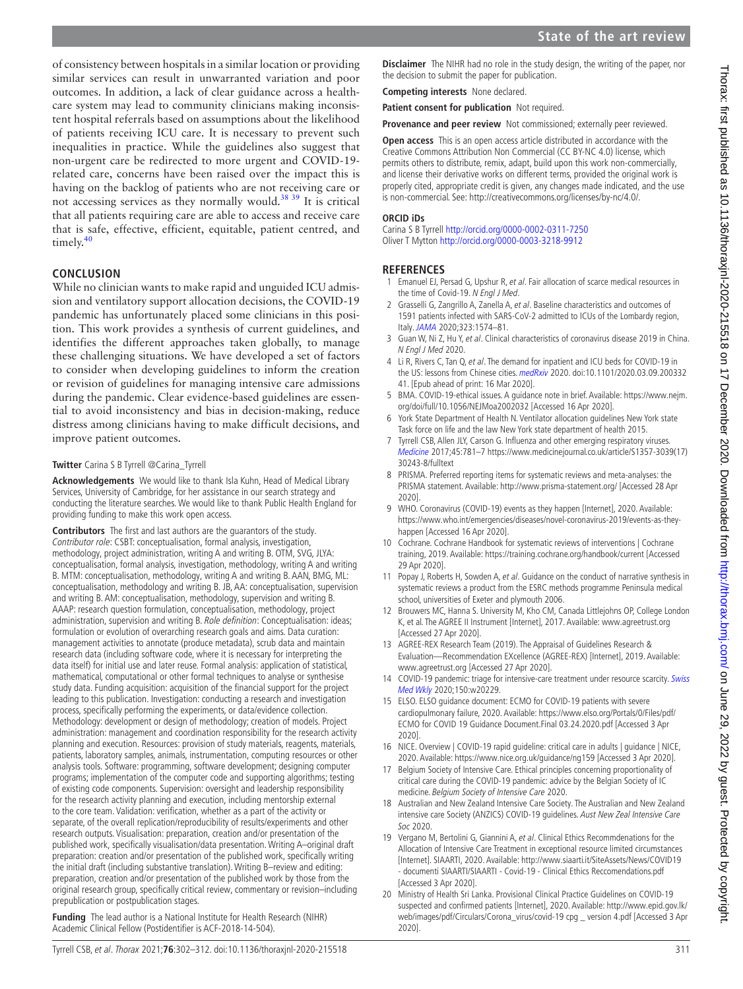of consistency between hospitals in a similar location or providing similar services can result in unwarranted variation and poor outcomes. In addition, a lack of clear guidance across a healthcare system may lead to community clinicians making inconsistent hospital referrals based on assumptions about the likelihood of patients receiving ICU care. It is necessary to prevent such inequalities in practice. While the guidelines also suggest that non-urgent care be redirected to more urgent and COVID-19 related care, concerns have been raised over the impact this is having on the backlog of patients who are not receiving care or not accessing services as they normally would.<sup>38</sup> 39 It is critical that all patients requiring care are able to access and receive care that is safe, effective, efficient, equitable, patient centred, and timely.<sup>40</sup>

#### **CONCLUSION**

While no clinician wants to make rapid and unguided ICU admission and ventilatory support allocation decisions, the COVID-19 pandemic has unfortunately placed some clinicians in this position. This work provides a synthesis of current guidelines, and identifies the different approaches taken globally, to manage these challenging situations. We have developed a set of factors to consider when developing guidelines to inform the creation or revision of guidelines for managing intensive care admissions during the pandemic. Clear evidence-based guidelines are essential to avoid inconsistency and bias in decision-making, reduce distress among clinicians having to make difficult decisions, and improve patient outcomes.

#### **Twitter** Carina S B Tyrrell [@Carina\\_Tyrrell](https://twitter.com/Carina_Tyrrell)

**Acknowledgements** We would like to thank Isla Kuhn, Head of Medical Library Services, University of Cambridge, for her assistance in our search strategy and conducting the literature searches. We would like to thank Public Health England for providing funding to make this work open access.

**Contributors** The first and last authors are the guarantors of the study. Contributor role: CSBT: conceptualisation, formal analysis, investigation, methodology, project administration, writing A and writing B. OTM, SVG, JLYA: conceptualisation, formal analysis, investigation, methodology, writing A and writing B. MTM: conceptualisation, methodology, writing A and writing B. AAN, BMG, ML: conceptualisation, methodology and writing B. JB, AA: conceptualisation, supervision and writing B. AM: conceptualisation, methodology, supervision and writing B. AAAP: research question formulation, conceptualisation, methodology, project administration, supervision and writing B. Role definition: Conceptualisation: ideas; formulation or evolution of overarching research goals and aims. Data curation: management activities to annotate (produce metadata), scrub data and maintain research data (including software code, where it is necessary for interpreting the data itself) for initial use and later reuse. Formal analysis: application of statistical, mathematical, computational or other formal techniques to analyse or synthesise study data. Funding acquisition: acquisition of the financial support for the project leading to this publication. Investigation: conducting a research and investigation process, specifically performing the experiments, or data/evidence collection. Methodology: development or design of methodology; creation of models. Project administration: management and coordination responsibility for the research activity planning and execution. Resources: provision of study materials, reagents, materials, patients, laboratory samples, animals, instrumentation, computing resources or other analysis tools. Software: programming, software development; designing computer programs; implementation of the computer code and supporting algorithms; testing of existing code components. Supervision: oversight and leadership responsibility for the research activity planning and execution, including mentorship external to the core team. Validation: verification, whether as a part of the activity or separate, of the overall replication/reproducibility of results/experiments and other research outputs. Visualisation: preparation, creation and/or presentation of the published work, specifically visualisation/data presentation. Writing A–original draft preparation: creation and/or presentation of the published work, specifically writing the initial draft (including substantive translation). Writing B–review and editing: preparation, creation and/or presentation of the published work by those from the original research group, specifically critical review, commentary or revision–including prepublication or postpublication stages.

**Funding** The lead author is a National Institute for Health Research (NIHR) Academic Clinical Fellow (Postidentifier is ACF-2018-14-504).

**Competing interests** None declared.

**Patient consent for publication** Not required.

**Provenance and peer review** Not commissioned; externally peer reviewed.

**Open access** This is an open access article distributed in accordance with the Creative Commons Attribution Non Commercial (CC BY-NC 4.0) license, which permits others to distribute, remix, adapt, build upon this work non-commercially, and license their derivative works on different terms, provided the original work is properly cited, appropriate credit is given, any changes made indicated, and the use is non-commercial. See: [http://creativecommons.org/licenses/by-nc/4.0/.](http://creativecommons.org/licenses/by-nc/4.0/)

#### **ORCID iDs**

Carina S B Tyrrell<http://orcid.org/0000-0002-0311-7250> Oliver T Mytton <http://orcid.org/0000-0003-3218-9912>

#### **REFERENCES**

- <span id="page-9-0"></span>1 Emanuel EJ, Persad G, Upshur R, et al. Fair allocation of scarce medical resources in the time of Covid-19. N Engl J Med.
- <span id="page-9-1"></span>2 Grasselli G, Zangrillo A, Zanella A, et al. Baseline characteristics and outcomes of 1591 patients infected with SARS-CoV-2 admitted to ICUs of the Lombardy region, Italy. [JAMA](http://dx.doi.org/10.1001/jama.2020.5394) 2020;323:1574–81.
- 3 Guan W, Ni Z, Hu Y, et al. Clinical characteristics of coronavirus disease 2019 in China. N Engl J Med 2020.
- 4 Li R, Rivers C, Tan Q, et al. The demand for inpatient and ICU beds for COVID-19 in the US: lessons from Chinese cities. [medRxiv](http://dx.doi.org/10.1101/2020.03.09.20033241) 2020. doi:10.1101/2020.03.09.200332 41. [Epub ahead of print: 16 Mar 2020].
- <span id="page-9-2"></span>5 BMA. COVID-19-ethical issues. A guidance note in brief. Available: [https://www.nejm.](https://www.nejm.org/doi/full/10.1056/NEJMoa2002032) [org/doi/full/10.1056/NEJMoa2002032](https://www.nejm.org/doi/full/10.1056/NEJMoa2002032) [Accessed 16 Apr 2020].
- <span id="page-9-3"></span>6 York State Department of Health N. Ventilator allocation guidelines New York state Task force on life and the law New York state department of health 2015.
- <span id="page-9-4"></span>7 Tyrrell CSB, Allen JLY, Carson G. Influenza and other emerging respiratory viruses. [Medicine](http://dx.doi.org/10.1016/j.mpmed.2017.09.003) 2017;45:781–7 [https://www.medicinejournal.co.uk/article/S1357-3039\(17\)](https://www.medicinejournal.co.uk/article/S1357-3039(17)30243-8/fulltext) [30243-8/fulltext](https://www.medicinejournal.co.uk/article/S1357-3039(17)30243-8/fulltext)
- <span id="page-9-5"></span>8 PRISMA. Preferred reporting items for systematic reviews and meta-analyses: the PRISMA statement. Available:<http://www.prisma-statement.org/>[Accessed 28 Apr 2020].
- <span id="page-9-6"></span>9 WHO. Coronavirus (COVID-19) events as they happen [Internet], 2020. Available: [https://www.who.int/emergencies/diseases/novel-coronavirus-2019/events-as-they](https://www.who.int/emergencies/diseases/novel-coronavirus-2019/events-as-they-happen)[happen](https://www.who.int/emergencies/diseases/novel-coronavirus-2019/events-as-they-happen) [Accessed 16 Apr 2020].
- <span id="page-9-7"></span>10 Cochrane. Cochrane Handbook for systematic reviews of interventions | Cochrane training, 2019. Available: <https://training.cochrane.org/handbook/current> [Accessed 29 Apr 2020].
- <span id="page-9-8"></span>11 Popay J, Roberts H, Sowden A, et al. Guidance on the conduct of narrative synthesis in systematic reviews a product from the ESRC methods programme Peninsula medical school, universities of Exeter and plymouth 2006.
- <span id="page-9-9"></span>12 Brouwers MC, Hanna S. University M, Kho CM, Canada Littlejohns OP, College London K, et al. The AGREE II Instrument [Internet], 2017. Available: <www.agreetrust.org> [Accessed 27 Apr 2020].
- <span id="page-9-10"></span>13 AGREE-REX Research Team (2019). The Appraisal of Guidelines Research & Evaluation—Recommendation EXcellence (AGREE-REX) [Internet], 2019. Available: <www.agreetrust.org> [Accessed 27 Apr 2020].
- <span id="page-9-11"></span>14 COVID-19 pandemic: triage for intensive-care treatment under resource scarcity. [Swiss](http://dx.doi.org/10.4414/smw.2020.20229) [Med Wkly](http://dx.doi.org/10.4414/smw.2020.20229) 2020;150:w20229.
- <span id="page-9-12"></span>15 ELSO. ELSO guidance document: ECMO for COVID-19 patients with severe cardiopulmonary failure, 2020. Available: [https://www.elso.org/Portals/0/Files/pdf/](https://www.elso.org/Portals/0/Files/pdf/ECMO%20for%20COVID%2019%20Guidance%20Document.Final%2003.24.2020.pdf) [ECMO for COVID 19 Guidance Document.Final 03.24.2020.pdf](https://www.elso.org/Portals/0/Files/pdf/ECMO%20for%20COVID%2019%20Guidance%20Document.Final%2003.24.2020.pdf) [Accessed 3 Apr 2020].
- <span id="page-9-13"></span>16 NICE. Overview | COVID-19 rapid guideline: critical care in adults | guidance | NICE, 2020. Available: <https://www.nice.org.uk/guidance/ng159>[Accessed 3 Apr 2020].
- <span id="page-9-14"></span>17 Belgium Society of Intensive Care. Ethical principles concerning proportionality of critical care during the COVID-19 pandemic: advice by the Belgian Society of IC medicine. Belgium Society of Intensive Care 2020.
- <span id="page-9-16"></span>18 Australian and New Zealand Intensive Care Society. The Australian and New Zealand intensive care Society (ANZICS) COVID-19 guidelines. Aust New Zeal Intensive Care Soc 2020.
- <span id="page-9-15"></span>19 Vergano M, Bertolini G, Giannini A, et al. Clinical Ethics Recommdenations for the Allocation of Intensive Care Treatment in exceptional resource limited circumstances [Internet]. SIAARTI, 2020. Available: [http://www.siaarti.it/SiteAssets/News/COVID19](http://www.siaarti.it/SiteAssets/News/COVID19%20-%20documenti%20SIAARTI/SIAARTI%20-%20Covid-19%20-%20Clinical%20Ethics%20Reccomendations.pdf)  [- documenti SIAARTI/SIAARTI - Covid-19 - Clinical Ethics Reccomendations.pdf](http://www.siaarti.it/SiteAssets/News/COVID19%20-%20documenti%20SIAARTI/SIAARTI%20-%20Covid-19%20-%20Clinical%20Ethics%20Reccomendations.pdf) [Accessed 3 Apr 2020].
- <span id="page-9-17"></span>20 Ministry of Health Sri Lanka. Provisional Clinical Practice Guidelines on COVID-19 suspected and confirmed patients [Internet], 2020. Available: [http://www.epid.gov.lk/](http://www.epid.gov.lk/web/images/pdf/Circulars/Corona_virus/covid-19%20cpg%20_%20version%204.pdf) [web/images/pdf/Circulars/Corona\\_virus/covid-19 cpg \\_ version 4.pdf](http://www.epid.gov.lk/web/images/pdf/Circulars/Corona_virus/covid-19%20cpg%20_%20version%204.pdf) [Accessed 3 Apr 2020].